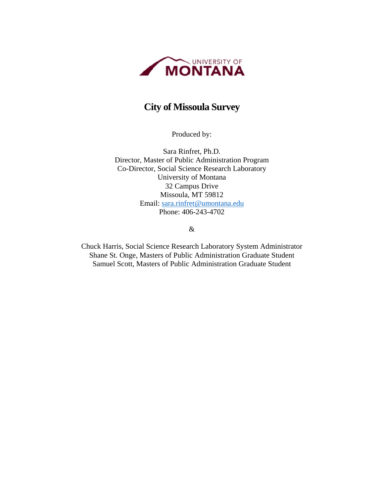

## **City of Missoula Survey**

Produced by:

Sara Rinfret, Ph.D. Director, Master of Public Administration Program Co-Director, Social Science Research Laboratory University of Montana 32 Campus Drive Missoula, MT 59812 Email: sara.rinfret@umontana.edu Phone: 406-243-4702

&

Chuck Harris, Social Science Research Laboratory System Administrator Shane St. Onge, Masters of Public Administration Graduate Student Samuel Scott, Masters of Public Administration Graduate Student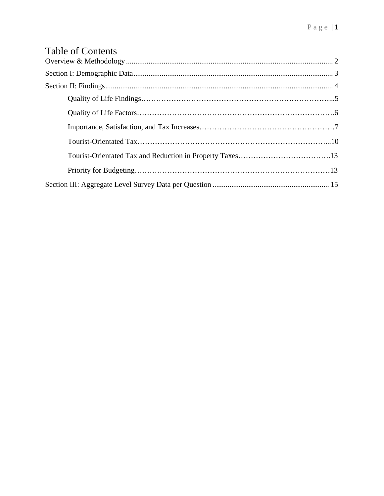# Table of Contents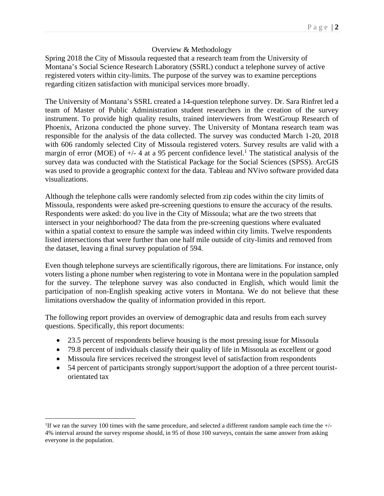#### Overview & Methodology

Spring 2018 the City of Missoula requested that a research team from the University of Montana's Social Science Research Laboratory (SSRL) conduct a telephone survey of active registered voters within city-limits. The purpose of the survey was to examine perceptions regarding citizen satisfaction with municipal services more broadly.

The University of Montana's SSRL created a 14-question telephone survey. Dr. Sara Rinfret led a team of Master of Public Administration student researchers in the creation of the survey instrument. To provide high quality results, trained interviewers from WestGroup Research of Phoenix, Arizona conducted the phone survey. The University of Montana research team was responsible for the analysis of the data collected. The survey was conducted March 1-20, 2018 with 606 randomly selected City of Missoula registered voters. Survey results are valid with a margin of error (MOE) of  $+/- 4$  at a 95 percent confidence level.<sup>1</sup> The statistical analysis of the survey data was conducted with the Statistical Package for the Social Sciences (SPSS). ArcGIS was used to provide a geographic context for the data. Tableau and NVivo software provided data visualizations.

Although the telephone calls were randomly selected from zip codes within the city limits of Missoula, respondents were asked pre-screening questions to ensure the accuracy of the results. Respondents were asked: do you live in the City of Missoula; what are the two streets that intersect in your neighborhood? The data from the pre-screening questions where evaluated within a spatial context to ensure the sample was indeed within city limits. Twelve respondents listed intersections that were further than one half mile outside of city-limits and removed from the dataset, leaving a final survey population of 594.

Even though telephone surveys are scientifically rigorous, there are limitations. For instance, only voters listing a phone number when registering to vote in Montana were in the population sampled for the survey. The telephone survey was also conducted in English, which would limit the participation of non-English speaking active voters in Montana. We do not believe that these limitations overshadow the quality of information provided in this report.

The following report provides an overview of demographic data and results from each survey questions. Specifically, this report documents:

- 23.5 percent of respondents believe housing is the most pressing issue for Missoula
- 79.8 percent of individuals classify their quality of life in Missoula as excellent or good
- Missoula fire services received the strongest level of satisfaction from respondents
- 54 percent of participants strongly support/support the adoption of a three percent touristorientated tax

 $\overline{a}$ 

<sup>&</sup>lt;sup>1</sup>If we ran the survey 100 times with the same procedure, and selected a different random sample each time the  $+/-$ 4% interval around the survey response should, in 95 of those 100 surveys, contain the same answer from asking everyone in the population.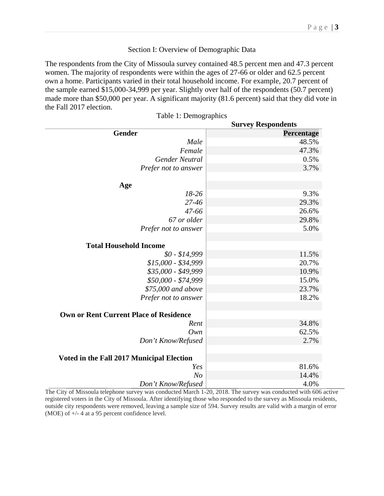#### Section I: Overview of Demographic Data

The respondents from the City of Missoula survey contained 48.5 percent men and 47.3 percent women. The majority of respondents were within the ages of 27-66 or older and 62.5 percent own a home. Participants varied in their total household income. For example, 20.7 percent of the sample earned \$15,000-34,999 per year. Slightly over half of the respondents (50.7 percent) made more than \$50,000 per year. A significant majority (81.6 percent) said that they did vote in the Fall 2017 election.

|                                               | <b>Survey Respondents</b> |
|-----------------------------------------------|---------------------------|
| <b>Gender</b>                                 | Percentage                |
| Male                                          | 48.5%                     |
| Female                                        | 47.3%                     |
| <b>Gender Neutral</b>                         | 0.5%                      |
| Prefer not to answer                          | 3.7%                      |
|                                               |                           |
| Age                                           |                           |
| 18-26                                         | 9.3%                      |
| 27-46                                         | 29.3%                     |
| 47-66                                         | 26.6%                     |
| 67 or older                                   | 29.8%                     |
| Prefer not to answer                          | 5.0%                      |
| <b>Total Household Income</b>                 |                           |
| $$0 - $14,999$                                | 11.5%                     |
| $$15,000 - $34,999$                           | 20.7%                     |
| \$35,000 - \$49,999                           | 10.9%                     |
| \$50,000 - \$74,999                           | 15.0%                     |
| \$75,000 and above                            | 23.7%                     |
| Prefer not to answer                          | 18.2%                     |
|                                               |                           |
| <b>Own or Rent Current Place of Residence</b> |                           |
| Rent                                          | 34.8%                     |
| Own                                           | 62.5%                     |
| Don't Know/Refused                            | 2.7%                      |
| Voted in the Fall 2017 Municipal Election     |                           |
| Yes                                           | 81.6%                     |
| N <sub>o</sub>                                | 14.4%                     |
| Don't Know/Refused                            | 4.0%                      |

Table 1: Demographics

The City of Missoula telephone survey was conducted March 1-20, 2018. The survey was conducted with 606 active registered voters in the City of Missoula. After identifying those who responded to the survey as Missoula residents, outside city respondents were removed, leaving a sample size of 594. Survey results are valid with a margin of error (MOE) of +/- 4 at a 95 percent confidence level.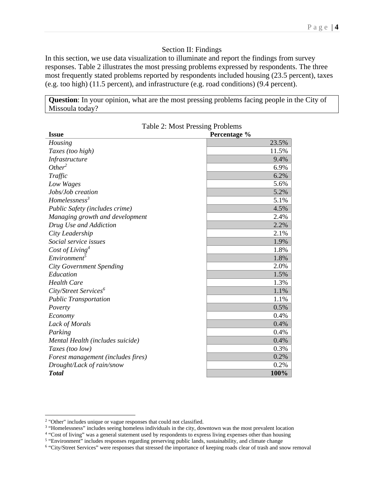#### Section II: Findings

In this section, we use data visualization to illuminate and report the findings from survey responses. Table 2 illustrates the most pressing problems expressed by respondents. The three most frequently stated problems reported by respondents included housing (23.5 percent), taxes (e.g. too high) (11.5 percent), and infrastructure (e.g. road conditions) (9.4 percent).

**Question**: In your opinion, what are the most pressing problems facing people in the City of Missoula today?

| <b>Issue</b>                       | Percentage % |
|------------------------------------|--------------|
| Housing                            | 23.5%        |
| Taxes (too high)                   | 11.5%        |
| Infrastructure                     | 9.4%         |
| Other <sup>2</sup>                 | 6.9%         |
| Traffic                            | 6.2%         |
| Low Wages                          | 5.6%         |
| Jobs/Job creation                  | 5.2%         |
| $H$ omelessness <sup>3</sup>       | 5.1%         |
| Public Safety (includes crime)     | 4.5%         |
| Managing growth and development    | 2.4%         |
| Drug Use and Addiction             | 2.2%         |
| City Leadership                    | 2.1%         |
| Social service issues              | 1.9%         |
| Cost of Living <sup>4</sup>        | 1.8%         |
| Environment <sup>5</sup>           | 1.8%         |
| <b>City Government Spending</b>    | 2.0%         |
| Education                          | 1.5%         |
| <b>Health Care</b>                 | 1.3%         |
| City/Street Services <sup>6</sup>  | 1.1%         |
| <b>Public Transportation</b>       | 1.1%         |
| Poverty                            | 0.5%         |
| Economy                            | 0.4%         |
| Lack of Morals                     | 0.4%         |
| Parking                            | 0.4%         |
| Mental Health (includes suicide)   | 0.4%         |
| Taxes (too low)                    | 0.3%         |
| Forest management (includes fires) | 0.2%         |
| Drought/Lack of rain/snow          | 0.2%         |
| <b>Total</b>                       | 100%         |

 $\overline{a}$ 

<sup>&</sup>lt;sup>2</sup> "Other" includes unique or vague responses that could not classified.<br><sup>3</sup> "Homelessness" includes seeing homeless individuals in the city, downtown was the most prevalent location<br><sup>4</sup> "Cost of living" was a general sta

<sup>&</sup>lt;sup>5</sup> "Environment" includes responses regarding preserving public lands, sustainability, and climate change<br><sup>6</sup> "City/Street Services" were responses that stressed the importance of keeping roads clear of trash and snow rem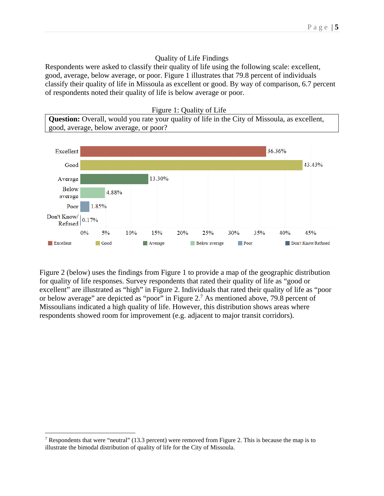#### Quality of Life Findings

Respondents were asked to classify their quality of life using the following scale: excellent, good, average, below average, or poor. Figure 1 illustrates that 79.8 percent of individuals classify their quality of life in Missoula as excellent or good. By way of comparison, 6.7 percent of respondents noted their quality of life is below average or poor.





Figure 2 (below) uses the findings from Figure 1 to provide a map of the geographic distribution for quality of life responses. Survey respondents that rated their quality of life as "good or excellent" are illustrated as "high" in Figure 2. Individuals that rated their quality of life as "poor or below average" are depicted as "poor" in Figure 2.<sup>7</sup> As mentioned above, 79.8 percent of Missoulians indicated a high quality of life. However, this distribution shows areas where respondents showed room for improvement (e.g. adjacent to major transit corridors).

1

<sup>&</sup>lt;sup>7</sup> Respondents that were "neutral" (13.3 percent) were removed from Figure 2. This is because the map is to illustrate the bimodal distribution of quality of life for the City of Missoula.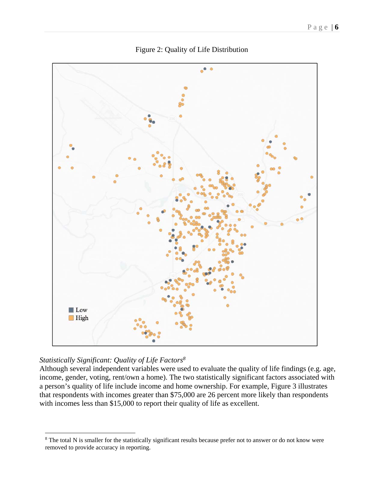

Figure 2: Quality of Life Distribution

## *Statistically Significant: Quality of Life Factors8*

 $\overline{a}$ 

Although several independent variables were used to evaluate the quality of life findings (e.g. age, income, gender, voting, rent/own a home). The two statistically significant factors associated with a person's quality of life include income and home ownership. For example, Figure 3 illustrates that respondents with incomes greater than \$75,000 are 26 percent more likely than respondents with incomes less than \$15,000 to report their quality of life as excellent.

<sup>&</sup>lt;sup>8</sup> The total N is smaller for the statistically significant results because prefer not to answer or do not know were removed to provide accuracy in reporting.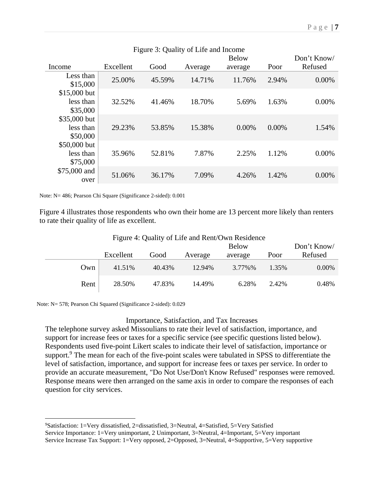| Figure 3: Quality of Life and Income  |           |        |         |              |          |             |
|---------------------------------------|-----------|--------|---------|--------------|----------|-------------|
|                                       |           |        |         | <b>Below</b> |          | Don't Know/ |
| Income                                | Excellent | Good   | Average | average      | Poor     | Refused     |
| Less than<br>\$15,000                 | 25.00%    | 45.59% | 14.71%  | 11.76%       | 2.94%    | $0.00\%$    |
| \$15,000 but<br>less than<br>\$35,000 | 32.52%    | 41.46% | 18.70%  | 5.69%        | 1.63%    | 0.00%       |
| \$35,000 but<br>less than<br>\$50,000 | 29.23%    | 53.85% | 15.38%  | $0.00\%$     | $0.00\%$ | 1.54%       |
| \$50,000 but<br>less than<br>\$75,000 | 35.96%    | 52.81% | 7.87%   | 2.25%        | 1.12%    | 0.00%       |
| \$75,000 and<br>over                  | 51.06%    | 36.17% | 7.09%   | 4.26%        | 1.42%    | $0.00\%$    |

Note: N= 486; Pearson Chi Square (Significance 2-sided): 0.001

Figure 4 illustrates those respondents who own their home are 13 percent more likely than renters to rate their quality of life as excellent.

|      |           |        |         | <b>Below</b> |       | Don't Know/ |
|------|-----------|--------|---------|--------------|-------|-------------|
|      | Excellent | Good   | Average | average      | Poor  | Refused     |
| Own  | 41.51%    | 40.43% | 12.94%  | 3.77%%       | 1.35% | 0.00%       |
| Rent | 28.50%    | 47.83% | 14.49%  | 6.28%        | 2.42% | 0.48%       |

Figure 4: Quality of Life and Rent/Own Residence

Note: N= 578; Pearson Chi Squared (Significance 2-sided): 0.029

<u>.</u>

#### Importance, Satisfaction, and Tax Increases

The telephone survey asked Missoulians to rate their level of satisfaction, importance, and support for increase fees or taxes for a specific service (see specific questions listed below). Respondents used five-point Likert scales to indicate their level of satisfaction, importance or support.<sup>9</sup> The mean for each of the five-point scales were tabulated in SPSS to differentiate the level of satisfaction, importance, and support for increase fees or taxes per service. In order to provide an accurate measurement, "Do Not Use/Don't Know Refused" responses were removed. Response means were then arranged on the same axis in order to compare the responses of each question for city services.

<sup>9</sup> Satisfaction: 1=Very dissatisfied, 2=dissatisfied, 3=Neutral, 4=Satisfied, 5=Very Satisfied Service Importance: 1=Very unimportant, 2 Unimportant, 3=Neutral, 4=Important, 5=Very important Service Increase Tax Support: 1=Very opposed, 2=Opposed, 3=Neutral, 4=Supportive, 5=Very supportive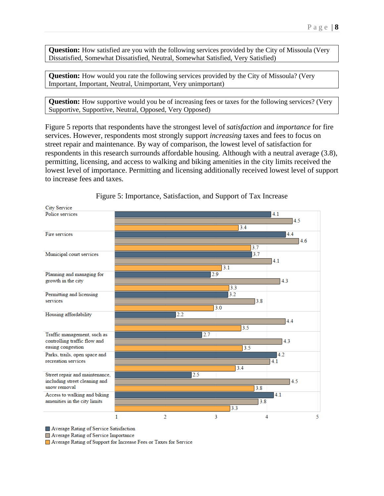**Question:** How satisfied are you with the following services provided by the City of Missoula (Very Dissatisfied, Somewhat Dissatisfied, Neutral, Somewhat Satisfied, Very Satisfied)

**Question:** How would you rate the following services provided by the City of Missoula? (Very Important, Important, Neutral, Unimportant, Very unimportant)

**Question:** How supportive would you be of increasing fees or taxes for the following services? (Very Supportive, Supportive, Neutral, Opposed, Very Opposed)

Figure 5 reports that respondents have the strongest level of *satisfaction* and *importance* for fire services. However, respondents most strongly support *increasing* taxes and fees to focus on street repair and maintenance. By way of comparison, the lowest level of satisfaction for respondents in this research surrounds affordable housing. Although with a neutral average (3.8), permitting, licensing, and access to walking and biking amenities in the city limits received the lowest level of importance. Permitting and licensing additionally received lowest level of support to increase fees and taxes.



Figure 5: Importance, Satisfaction, and Support of Tax Increase

Average Rating of Service Satisfaction

Average Rating of Service Importance

Average Rating of Support for Increase Fees or Taxes for Service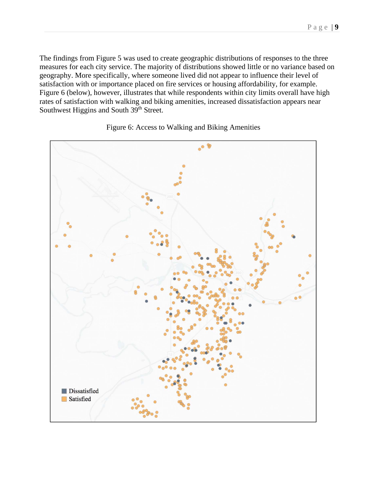The findings from Figure 5 was used to create geographic distributions of responses to the three measures for each city service. The majority of distributions showed little or no variance based on geography. More specifically, where someone lived did not appear to influence their level of satisfaction with or importance placed on fire services or housing affordability, for example. Figure 6 (below), however, illustrates that while respondents within city limits overall have high rates of satisfaction with walking and biking amenities, increased dissatisfaction appears near Southwest Higgins and South 39<sup>th</sup> Street.



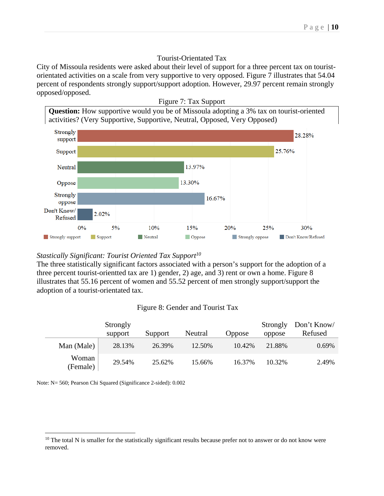#### Tourist-Orientated Tax

City of Missoula residents were asked about their level of support for a three percent tax on touristorientated activities on a scale from very supportive to very opposed. Figure 7 illustrates that 54.04 percent of respondents strongly support/support adoption. However, 29.97 percent remain strongly opposed/opposed.



#### *Stastically Significant: Tourist Oriented Tax Support10*

The three statistically significant factors associated with a person's support for the adoption of a three percent tourist-orientted tax are 1) gender, 2) age, and 3) rent or own a home. Figure 8 illustrates that 55.16 percent of women and 55.52 percent of men strongly support/support the adoption of a tourist-orientated tax.

#### Figure 8: Gender and Tourist Tax

|                   | Strongly |         |         |        | Strongly | Don't Know/ |
|-------------------|----------|---------|---------|--------|----------|-------------|
|                   | support  | Support | Neutral | Oppose | oppose   | Refused     |
| Man (Male)        | 28.13%   | 26.39%  | 12.50%  | 10.42% | 21.88%   | 0.69%       |
| Woman<br>(Female) | 29.54%   | 25.62%  | 15.66%  | 16.37% | 10.32%   | 2.49%       |

Note: N= 560; Pearson Chi Squared (Significance 2-sided): 0.002

 $\overline{a}$ 

<sup>&</sup>lt;sup>10</sup> The total N is smaller for the statistically significant results because prefer not to answer or do not know were removed.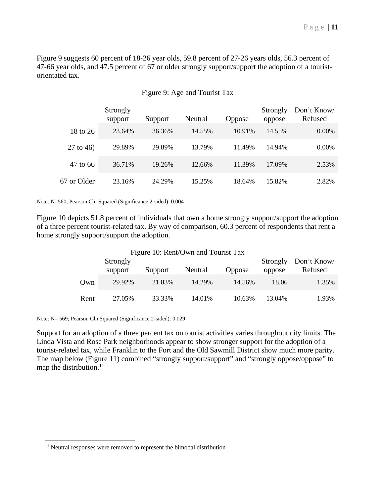Figure 9 suggests 60 percent of 18-26 year olds, 59.8 percent of 27-26 years olds, 56.3 percent of 47-66 year olds, and 47.5 percent of 67 or older strongly support/support the adoption of a touristorientated tax.

|             | Strongly<br>support | Support | Neutral | <b>Oppose</b> | Strongly<br>oppose | Don't Know/<br>Refused |
|-------------|---------------------|---------|---------|---------------|--------------------|------------------------|
| 18 to 26    | 23.64%              | 36.36%  | 14.55%  | 10.91%        | 14.55%             | $0.00\%$               |
| $27$ to 46) | 29.89%              | 29.89%  | 13.79%  | 11.49%        | 14.94%             | $0.00\%$               |
| 47 to 66    | 36.71%              | 19.26%  | 12.66%  | 11.39%        | 17.09%             | 2.53%                  |
| 67 or Older | 23.16%              | 24.29%  | 15.25%  | 18.64%        | 15.82%             | 2.82%                  |

### Figure 9: Age and Tourist Tax

Note: N=560; Pearson Chi Squared (Significance 2-sided): 0.004

Figure 10 depicts 51.8 percent of individuals that own a home strongly support/support the adoption of a three percent tourist-related tax. By way of comparison, 60.3 percent of respondents that rent a home strongly support/support the adoption.

|      | Strongly |         | Figure TV: Rent/Own and Tourist Tax |        | Strongly | Don't Know/ |
|------|----------|---------|-------------------------------------|--------|----------|-------------|
|      | support  | Support | Neutral                             | Oppose | oppose   | Refused     |
| Own  | 29.92%   | 21.83%  | 14.29%                              | 14.56% | 18.06    | 1.35%       |
| Rent | 27.05%   | 33.33%  | 14.01%                              | 10.63% | 13.04%   | 1.93%       |

## $\Gamma$  guys 10:  $\Gamma$  ant/Own and  $\Gamma$  and  $\Gamma$

Note: N= 569; Pearson Chi Squared (Significance 2-sided): 0.029

 $\overline{a}$ 

Support for an adoption of a three percent tax on tourist activities varies throughout city limits. The Linda Vista and Rose Park neighborhoods appear to show stronger support for the adoption of a tourist-related tax, while Franklin to the Fort and the Old Sawmill District show much more parity. The map below (Figure 11) combined "strongly support/support" and "strongly oppose/oppose" to map the distribution. $11$ 

<sup>&</sup>lt;sup>11</sup> Neutral responses were removed to represent the bimodal distribution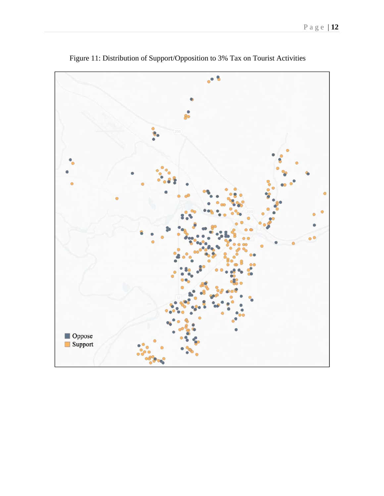

Figure 11: Distribution of Support/Opposition to 3% Tax on Tourist Activities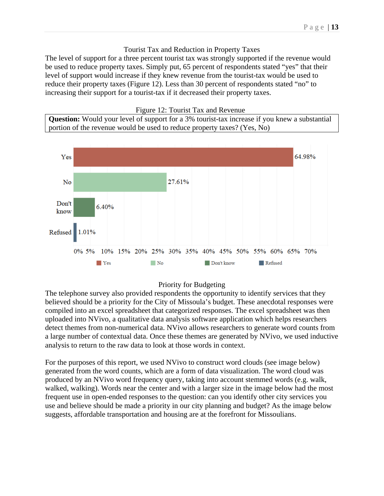#### Tourist Tax and Reduction in Property Taxes

The level of support for a three percent tourist tax was strongly supported if the revenue would be used to reduce property taxes. Simply put, 65 percent of respondents stated "yes" that their level of support would increase if they knew revenue from the tourist-tax would be used to reduce their property taxes (Figure 12). Less than 30 percent of respondents stated "no" to increasing their support for a tourist-tax if it decreased their property taxes.



**Question:** Would your level of support for a 3% tourist-tax increase if you knew a substantial portion of the revenue would be used to reduce property taxes? (Yes, No)



#### Priority for Budgeting

The telephone survey also provided respondents the opportunity to identify services that they believed should be a priority for the City of Missoula's budget. These anecdotal responses were compiled into an excel spreadsheet that categorized responses. The excel spreadsheet was then uploaded into NVivo, a qualitative data analysis software application which helps researchers detect themes from non-numerical data. NVivo allows researchers to generate word counts from a large number of contextual data. Once these themes are generated by NVivo, we used inductive analysis to return to the raw data to look at those words in context.

For the purposes of this report, we used NVivo to construct word clouds (see image below) generated from the word counts, which are a form of data visualization. The word cloud was produced by an NVivo word frequency query, taking into account stemmed words (e.g. walk, walked, walking). Words near the center and with a larger size in the image below had the most frequent use in open-ended responses to the question: can you identify other city services you use and believe should be made a priority in our city planning and budget? As the image below suggests, affordable transportation and housing are at the forefront for Missoulians.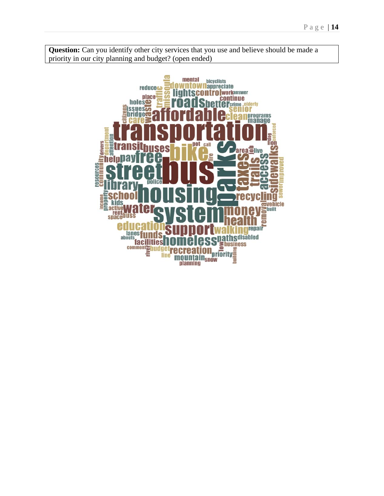**Question:** Can you identify other city services that you use and believe should be made a priority in our city planning and budget? (open ended)

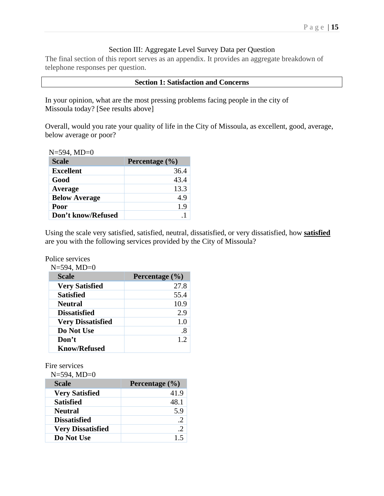### Section III: Aggregate Level Survey Data per Question

The final section of this report serves as an appendix. It provides an aggregate breakdown of telephone responses per question.

#### **Section 1: Satisfaction and Concerns**

In your opinion, what are the most pressing problems facing people in the city of Missoula today? [See results above]

Overall, would you rate your quality of life in the City of Missoula, as excellent, good, average, below average or poor?

| $N=594$ , $MD=0$     |                    |
|----------------------|--------------------|
| <b>Scale</b>         | Percentage $(\% )$ |
| <b>Excellent</b>     | 36.4               |
| Good                 | 43.4               |
| Average              | 13.3               |
| <b>Below Average</b> | 4.9                |
| Poor                 | 1.9                |
| Don't know/Refused   |                    |

Using the scale very satisfied, satisfied, neutral, dissatisfied, or very dissatisfied, how **satisfied** are you with the following services provided by the City of Missoula?

#### Police services

| $N=594$ , $MD=0$         |                    |
|--------------------------|--------------------|
| <b>Scale</b>             | Percentage $(\% )$ |
| <b>Very Satisfied</b>    | 27.8               |
| <b>Satisfied</b>         | 55.4               |
| <b>Neutral</b>           | 10.9               |
| <b>Dissatisfied</b>      | 2.9                |
| <b>Very Dissatisfied</b> | 1.0                |
| Do Not Use               | .8                 |
| Don't                    | 1.2                |
| <b>Know/Refused</b>      |                    |

Fire services

| $N=594$ , MD=0           |                    |
|--------------------------|--------------------|
| <b>Scale</b>             | Percentage $(\% )$ |
| <b>Very Satisfied</b>    | 41.9               |
| <b>Satisfied</b>         | 48.1               |
| <b>Neutral</b>           | 5.9                |
| <b>Dissatisfied</b>      |                    |
| <b>Very Dissatisfied</b> | $\cdot$ 2          |
| Do Not Use               | 15                 |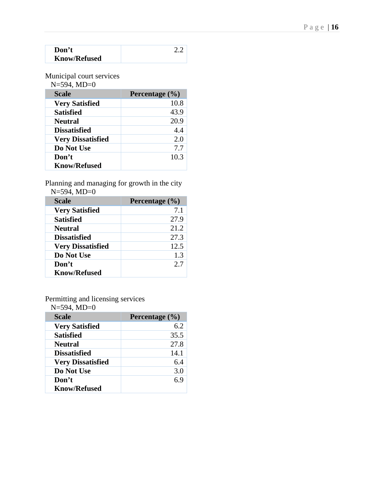|  |  | 16. |
|--|--|-----|
|--|--|-----|

| Don't               |  |
|---------------------|--|
| <b>Know/Refused</b> |  |

Municipal court services

| Scale                    | Percentage $(\% )$ |
|--------------------------|--------------------|
| <b>Very Satisfied</b>    | 10.8               |
| <b>Satisfied</b>         | 43.9               |
| <b>Neutral</b>           | 20.9               |
| <b>Dissatisfied</b>      | 4.4                |
| <b>Very Dissatisfied</b> | 2.0                |
| Do Not Use               | 7.7                |
| Don't                    | 10.3               |
| <b>Know/Refused</b>      |                    |

Planning and managing for growth in the city N=594, MD=0

| <b>Scale</b>             | Percentage $(\% )$ |
|--------------------------|--------------------|
| <b>Very Satisfied</b>    | 7.1                |
| <b>Satisfied</b>         | 27.9               |
| <b>Neutral</b>           | 21.2               |
| <b>Dissatisfied</b>      | 27.3               |
| <b>Very Dissatisfied</b> | 12.5               |
| Do Not Use               | 1.3                |
| Don't                    | 2.7                |
| <b>Know/Refused</b>      |                    |

Permitting and licensing services

| $N = 594$ , $MD = 0$ |  |  |
|----------------------|--|--|
|                      |  |  |

| <b>Scale</b>             | Percentage (%) |
|--------------------------|----------------|
| <b>Very Satisfied</b>    | 6.2            |
| <b>Satisfied</b>         | 35.5           |
| <b>Neutral</b>           | 27.8           |
| <b>Dissatisfied</b>      | 14.1           |
| <b>Very Dissatisfied</b> | 6.4            |
| Do Not Use               | 3.0            |
| Don't                    | 69             |
| <b>Know/Refused</b>      |                |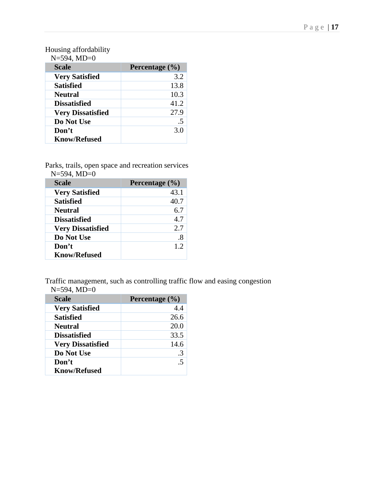## Housing affordability

| <b>Scale</b>             | Percentage $(\% )$ |
|--------------------------|--------------------|
| <b>Very Satisfied</b>    | 3.2                |
| <b>Satisfied</b>         | 13.8               |
| <b>Neutral</b>           | 10.3               |
| <b>Dissatisfied</b>      | 41.2               |
| <b>Very Dissatisfied</b> | 27.9               |
| Do Not Use               | .5                 |
| Don't                    | 3.0                |
| <b>Know/Refused</b>      |                    |

Parks, trails, open space and recreation services  $N=594$   $MD=0$ 

| <b>Scale</b>             | Percentage $(\% )$ |
|--------------------------|--------------------|
| <b>Very Satisfied</b>    | 43.1               |
| <b>Satisfied</b>         | 40.7               |
| <b>Neutral</b>           | 6.7                |
| <b>Dissatisfied</b>      | 4.7                |
| <b>Very Dissatisfied</b> | 2.7                |
| Do Not Use               | $.8\,$             |
| Don't                    | 1.2                |
| <b>Know/Refused</b>      |                    |

Traffic management, such as controlling traffic flow and easing congestion  $N=594, MD=0$ 

| <b>Scale</b>             | Percentage $(\% )$ |
|--------------------------|--------------------|
| <b>Very Satisfied</b>    | 4.4                |
| <b>Satisfied</b>         | 26.6               |
| <b>Neutral</b>           | 20.0               |
| <b>Dissatisfied</b>      | 33.5               |
| <b>Very Dissatisfied</b> | 14.6               |
| Do Not Use               | $\mathcal{R}$      |
| Don't                    | 5                  |
| <b>Know/Refused</b>      |                    |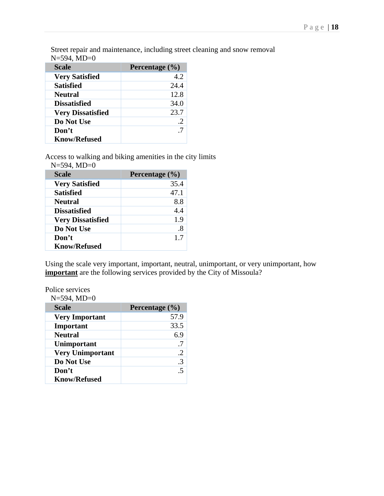Street repair and maintenance, including street cleaning and snow removal  $N=594, \overline{MD}=0$ 

| <b>Scale</b>             | Percentage $(\% )$ |
|--------------------------|--------------------|
| <b>Very Satisfied</b>    | 4.2                |
| <b>Satisfied</b>         | 24.4               |
| <b>Neutral</b>           | 12.8               |
| <b>Dissatisfied</b>      | 34.0               |
| <b>Very Dissatisfied</b> | 23.7               |
| Do Not Use               |                    |
| Don't                    |                    |
| <b>Know/Refused</b>      |                    |

Access to walking and biking amenities in the city limits  $N=594$   $MD=0$ 

| $11 - 37 - 1111 - 0$     |                    |
|--------------------------|--------------------|
| <b>Scale</b>             | Percentage $(\% )$ |
| <b>Very Satisfied</b>    | 35.4               |
| <b>Satisfied</b>         | 47.1               |
| <b>Neutral</b>           | 8.8                |
| <b>Dissatisfied</b>      | 4.4                |
| <b>Very Dissatisfied</b> | 1.9                |
| Do Not Use               | .8                 |
| Don't                    | 1.7                |
| <b>Know/Refused</b>      |                    |

Using the scale very important, important, neutral, unimportant, or very unimportant, how **important** are the following services provided by the City of Missoula?

Police services  $N=504$ ,  $MD=0$ 

| $N = 594$ , $M D = 0$   |                    |
|-------------------------|--------------------|
| <b>Scale</b>            | Percentage $(\% )$ |
| <b>Very Important</b>   | 57.9               |
| Important               | 33.5               |
| <b>Neutral</b>          | 6.9                |
| Unimportant             | .7                 |
| <b>Very Unimportant</b> | $\cdot$ .2         |
| Do Not Use              | $\cdot$ 3          |
| Don't                   | .5                 |
| <b>Know/Refused</b>     |                    |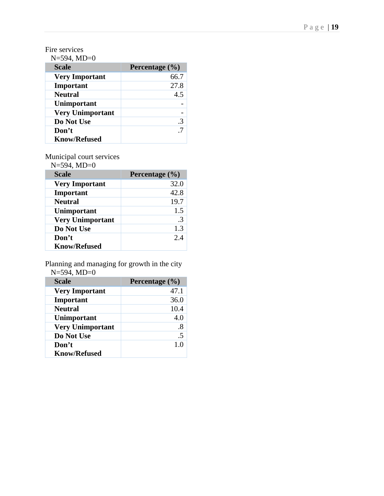## Fire services

N=594, MD=0

| <b>Scale</b>            | Percentage $(\% )$ |
|-------------------------|--------------------|
| <b>Very Important</b>   | 66.7               |
| Important               | 27.8               |
| <b>Neutral</b>          | 4.5                |
| Unimportant             |                    |
| <b>Very Unimportant</b> |                    |
| Do Not Use              |                    |
| Don't                   |                    |
| <b>Know/Refused</b>     |                    |

Municipal court services

N=594, MD=0

| <b>Scale</b>            | Percentage $(\% )$ |
|-------------------------|--------------------|
| <b>Very Important</b>   | 32.0               |
| Important               | 42.8               |
| <b>Neutral</b>          | 19.7               |
| Unimportant             | 1.5                |
| <b>Very Unimportant</b> | $\mathcal{R}$      |
| Do Not Use              | 1.3                |
| Don't                   | 2.4                |
| <b>Know/Refused</b>     |                    |

Planning and managing for growth in the city N=594, MD=0

| <b>Scale</b>            | Percentage $(\% )$ |
|-------------------------|--------------------|
| <b>Very Important</b>   | 47.1               |
| Important               | 36.0               |
| <b>Neutral</b>          | 10.4               |
| Unimportant             | 4.0                |
| <b>Very Unimportant</b> | $.8\,$             |
| Do Not Use              | .5                 |
| Don't                   | 1.0                |
| <b>Know/Refused</b>     |                    |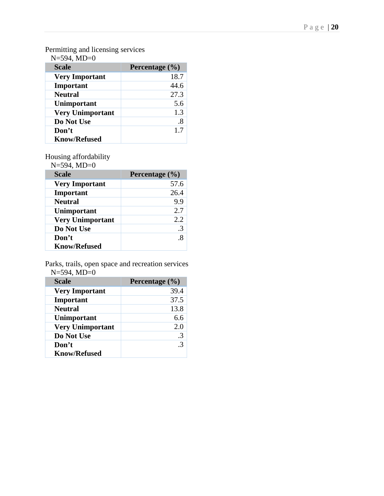#### Permitting and licensing services

| <b>Scale</b>            | Percentage $(\% )$ |
|-------------------------|--------------------|
| <b>Very Important</b>   | 18.7               |
| Important               | 44.6               |
| <b>Neutral</b>          | 27.3               |
| Unimportant             | 5.6                |
| <b>Very Unimportant</b> | 1.3                |
| Do Not Use              | .8                 |
| Don't                   | 1.7                |
| <b>Know/Refused</b>     |                    |

## Housing affordability

N=594, MD=0

| <b>Scale</b>            | Percentage $(\% )$ |
|-------------------------|--------------------|
| <b>Very Important</b>   | 57.6               |
| Important               | 26.4               |
| <b>Neutral</b>          | 9.9                |
| Unimportant             | 2.7                |
| <b>Very Unimportant</b> | 2.2                |
| Do Not Use              |                    |
| Don't                   |                    |
| <b>Know/Refused</b>     |                    |

Parks, trails, open space and recreation services  $N=594, MD=0$ 

| <b>Scale</b>            | Percentage $(\% )$ |
|-------------------------|--------------------|
| <b>Very Important</b>   | 39.4               |
| Important               | 37.5               |
| <b>Neutral</b>          | 13.8               |
| Unimportant             | 6.6                |
| <b>Very Unimportant</b> | 2.0                |
| Do Not Use              | $\cdot$ 3          |
| Don't                   | $\mathcal{R}$      |
| <b>Know/Refused</b>     |                    |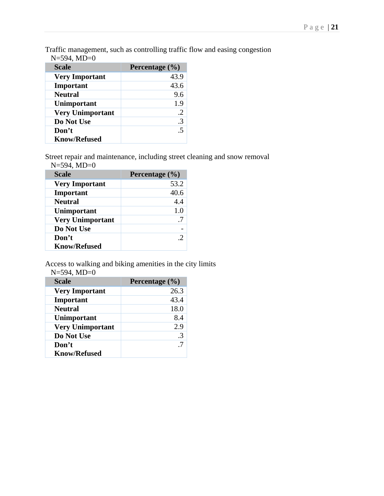Traffic management, such as controlling traffic flow and easing congestion  $N=594$   $MD=0$ 

| ハーフノサ, ハルレー <u>い</u>    |                |
|-------------------------|----------------|
| <b>Scale</b>            | Percentage (%) |
| <b>Very Important</b>   | 43.9           |
| Important               | 43.6           |
| <b>Neutral</b>          | 9.6            |
| Unimportant             | 1.9            |
| <b>Very Unimportant</b> | $\cdot$ .2     |
| Do Not Use              | $\cdot$ 3      |
| Don't                   | .5             |
| <b>Know/Refused</b>     |                |

Street repair and maintenance, including street cleaning and snow removal  $N=594$ , MD=0

| <b>Scale</b>            | Percentage $(\% )$ |
|-------------------------|--------------------|
| <b>Very Important</b>   | 53.2               |
| Important               | 40.6               |
| <b>Neutral</b>          | 4.4                |
| Unimportant             | 1.0                |
| <b>Very Unimportant</b> | .7                 |
| Do Not Use              |                    |
| Don't                   |                    |
| <b>Know/Refused</b>     |                    |

Access to walking and biking amenities in the city limits  $N = 594$ ,  $MD = 0$ 

| <b>Scale</b>            | Percentage $(\% )$ |
|-------------------------|--------------------|
| <b>Very Important</b>   | 26.3               |
| Important               | 43.4               |
| <b>Neutral</b>          | 18.0               |
| Unimportant             | 8.4                |
| <b>Very Unimportant</b> | 2.9                |
| Do Not Use              | $\mathcal{R}$      |
| Don't                   | .7                 |
| <b>Know/Refused</b>     |                    |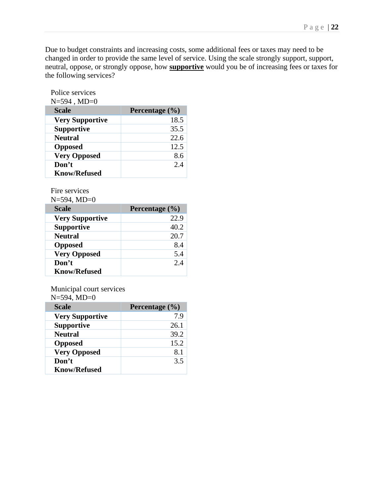Due to budget constraints and increasing costs, some additional fees or taxes may need to be changed in order to provide the same level of service. Using the scale strongly support, support, neutral, oppose, or strongly oppose, how **supportive** would you be of increasing fees or taxes for the following services?

| Police services        |                    |
|------------------------|--------------------|
| $N = 594$ , $MD = 0$   |                    |
| <b>Scale</b>           | Percentage $(\% )$ |
| <b>Very Supportive</b> | 18.5               |
| <b>Supportive</b>      | 35.5               |
| <b>Neutral</b>         | 22.6               |
| <b>Opposed</b>         | 12.5               |
| <b>Very Opposed</b>    | 8.6                |
| Don't                  | 2.4                |
| <b>Know/Refused</b>    |                    |

Fire services

| $N=594$ , $MD=0$       |                    |
|------------------------|--------------------|
| <b>Scale</b>           | Percentage $(\% )$ |
| <b>Very Supportive</b> | 22.9               |
| <b>Supportive</b>      | 40.2               |
| <b>Neutral</b>         | 20.7               |
| <b>Opposed</b>         | 8.4                |
| <b>Very Opposed</b>    | 5.4                |
| Don't                  | 2.4                |
| <b>Know/Refused</b>    |                    |

Municipal court services

 $N=594$ ,  $MD=0$ 

| <b>Scale</b>           | Percentage $(\% )$ |
|------------------------|--------------------|
| <b>Very Supportive</b> | 7.9                |
| <b>Supportive</b>      | 26.1               |
| <b>Neutral</b>         | 39.2               |
| <b>Opposed</b>         | 15.2               |
| <b>Very Opposed</b>    | 8.1                |
| Don't                  | 3.5                |
| <b>Know/Refused</b>    |                    |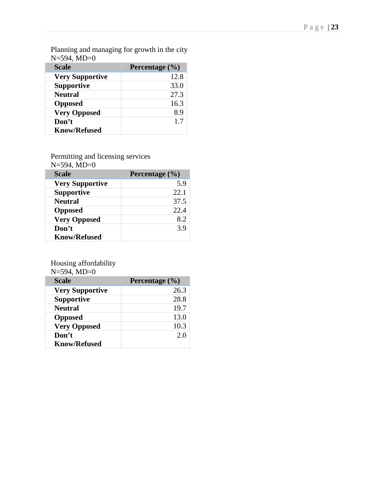Planning and managing for growth in the city N=594, MD=0

| <b>Scale</b>           | Percentage (%) |
|------------------------|----------------|
| <b>Very Supportive</b> | 12.8           |
| <b>Supportive</b>      | 33.0           |
| <b>Neutral</b>         | 27.3           |
| <b>Opposed</b>         | 16.3           |
| <b>Very Opposed</b>    | 8.9            |
| Don't                  | 1.7            |
| <b>Know/Refused</b>    |                |

Permitting and licensing services

N=594, MD=0

| <b>Scale</b>           | Percentage (%) |
|------------------------|----------------|
| <b>Very Supportive</b> | 5.9            |
| <b>Supportive</b>      | 22.1           |
| <b>Neutral</b>         | 37.5           |
| <b>Opposed</b>         | 22.4           |
| <b>Very Opposed</b>    | 8.2            |
| Don't                  | 3.9            |
| <b>Know/Refused</b>    |                |

Housing affordability

| $N = 594$ , $MD = 0$   |                    |
|------------------------|--------------------|
| <b>Scale</b>           | Percentage $(\% )$ |
| <b>Very Supportive</b> | 26.3               |
| <b>Supportive</b>      | 28.8               |
| <b>Neutral</b>         | 19.7               |
| <b>Opposed</b>         | 13.0               |
| <b>Very Opposed</b>    | 10.3               |
| Don't                  | 2.0                |
| <b>Know/Refused</b>    |                    |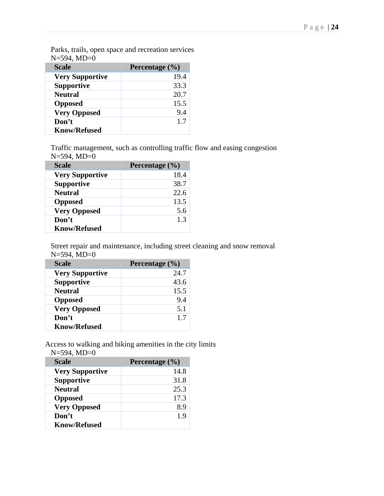| <b>Scale</b>           | Percentage $(\% )$ |
|------------------------|--------------------|
| <b>Very Supportive</b> | 19.4               |
| <b>Supportive</b>      | 33.3               |
| <b>Neutral</b>         | 20.7               |
| <b>Opposed</b>         | 15.5               |
| <b>Very Opposed</b>    | 9.4                |
| Don't                  | 1.7                |
| <b>Know/Refused</b>    |                    |

Parks, trails, open space and recreation services  $N=594, MD=0$ 

Traffic management, such as controlling traffic flow and easing congestion N=594, MD=0

| <b>Scale</b>           | Percentage $(\% )$ |
|------------------------|--------------------|
| <b>Very Supportive</b> | 18.4               |
| <b>Supportive</b>      | 38.7               |
| <b>Neutral</b>         | 22.6               |
| <b>Opposed</b>         | 13.5               |
| <b>Very Opposed</b>    | 5.6                |
| Don't                  | 1.3                |
| <b>Know/Refused</b>    |                    |

Street repair and maintenance, including street cleaning and snow removal N=594, MD=0

| <b>Scale</b>           | Percentage $(\% )$ |
|------------------------|--------------------|
| <b>Very Supportive</b> | 24.7               |
| <b>Supportive</b>      | 43.6               |
| <b>Neutral</b>         | 15.5               |
| <b>Opposed</b>         | 9.4                |
| <b>Very Opposed</b>    | 5.1                |
| Don't                  | 1.7                |
| <b>Know/Refused</b>    |                    |

Access to walking and biking amenities in the city limits N=594, MD=0

| <b>Scale</b>           | Percentage (%) |
|------------------------|----------------|
| <b>Very Supportive</b> | 14.8           |
| <b>Supportive</b>      | 31.8           |
| <b>Neutral</b>         | 25.3           |
| <b>Opposed</b>         | 17.3           |
| <b>Very Opposed</b>    | 89             |
| Don't                  | 1.9            |
| <b>Know/Refused</b>    |                |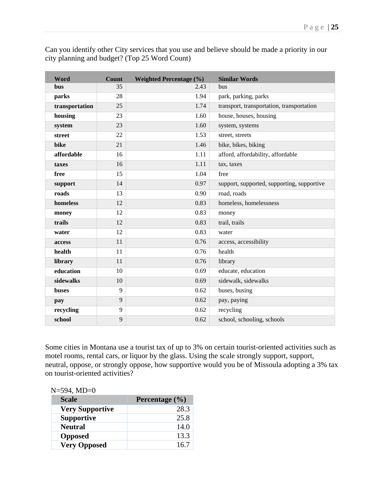| Can you identify other City services that you use and believe should be made a priority in our |  |
|------------------------------------------------------------------------------------------------|--|
| city planning and budget? (Top 25 Word Count)                                                  |  |

| Word           | <b>Count</b> | <b>Weighted Percentage (%)</b> | <b>Similar Words</b>                       |
|----------------|--------------|--------------------------------|--------------------------------------------|
| <b>bus</b>     | 35           | 2.43                           | <b>bus</b>                                 |
| parks          | 28           | 1.94                           | park, parking, parks                       |
| transportation | 25           | 1.74                           | transport, transportation, transportation  |
| housing        | 23           | 1.60                           | house, houses, housing                     |
| system         | 23           | 1.60                           | system, systems                            |
| street         | 22           | 1.53                           | street, streets                            |
| bike           | 21           | 1.46                           | bike, bikes, biking                        |
| affordable     | 16           | 1.11                           | afford, affordability, affordable          |
| taxes          | 16           | 1.11                           | tax, taxes                                 |
| free           | 15           | 1.04                           | free                                       |
| support        | 14           | 0.97                           | support, supported, supporting, supportive |
| roads          | 13           | 0.90                           | road, roads                                |
| homeless       | 12           | 0.83                           | homeless, homelessness                     |
| money          | 12           | 0.83                           | money                                      |
| trails         | 12           | 0.83                           | trail, trails                              |
| water          | 12           | 0.83                           | water                                      |
| access         | 11           | 0.76                           | access, accessibility                      |
| health         | 11           | 0.76                           | health                                     |
| library        | 11           | 0.76                           | library                                    |
| education      | 10           | 0.69                           | educate, education                         |
| sidewalks      | 10           | 0.69                           | sidewalk, sidewalks                        |
| <b>buses</b>   | 9            | 0.62                           | buses, busing                              |
| pay            | 9            | 0.62                           | pay, paying                                |
| recycling      | 9            | 0.62                           | recycling                                  |
| school         | 9            | 0.62                           | school, schooling, schools                 |

Some cities in Montana use a tourist tax of up to 3% on certain tourist-oriented activities such as motel rooms, rental cars, or liquor by the glass. Using the scale strongly support, support, neutral, oppose, or strongly oppose, how supportive would you be of Missoula adopting a 3% tax on tourist-oriented activities?

| <b>Scale</b>           | Percentage $(\% )$ |
|------------------------|--------------------|
| <b>Very Supportive</b> | 28.3               |
| <b>Supportive</b>      | 25.8               |
| <b>Neutral</b>         | 14.0               |
| <b>Opposed</b>         | 13.3               |
| <b>Very Opposed</b>    | 16.7               |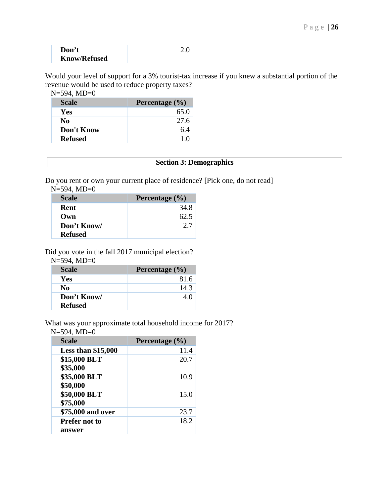| Don't               |  |
|---------------------|--|
| <b>Know/Refused</b> |  |

Would your level of support for a 3% tourist-tax increase if you knew a substantial portion of the revenue would be used to reduce property taxes?

N=594, MD=0

| <b>Scale</b>   | Percentage $(\% )$ |
|----------------|--------------------|
| <b>Yes</b>     | 65.0               |
| No.            | 27.6               |
| Don't Know     | 6.4                |
| <b>Refused</b> | 1 O                |

#### **Section 3: Demographics**

Do you rent or own your current place of residence? [Pick one, do not read]

N=594, MD=0

| <b>Scale</b>   | Percentage $(\% )$ |
|----------------|--------------------|
| Rent           | 34.8               |
| Own            | 62.5               |
| Don't Know/    | 27                 |
| <b>Refused</b> |                    |

Did you vote in the fall 2017 municipal election?

N=594, MD=0

| <b>Scale</b>   | Percentage $(\% )$ |
|----------------|--------------------|
| <b>Yes</b>     | 81.6               |
| No             | 14.3               |
| Don't Know/    | 4 0                |
| <b>Refused</b> |                    |

What was your approximate total household income for 2017?

N=594, MD=0

| <b>Scale</b>         | Percentage $(\% )$ |
|----------------------|--------------------|
| Less than $$15,000$  | 11.4               |
| \$15,000 BLT         | 20.7               |
| \$35,000             |                    |
| \$35,000 BLT         | 10.9               |
| \$50,000             |                    |
| \$50,000 BLT         | 15.0               |
| \$75,000             |                    |
| \$75,000 and over    | 23.7               |
| <b>Prefer not to</b> | 18.2               |
| answer               |                    |